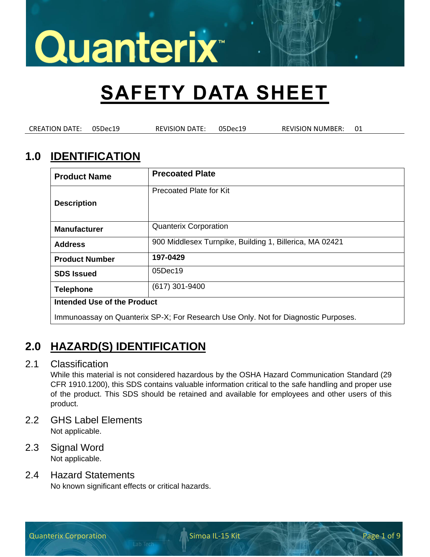# **SAFETY DATA SHEET**

CREATION DATE: 05Dec19 REVISION DATE: 05Dec19 REVISION NUMBER: 01

## **1.0 IDENTIFICATION**

| <b>Product Name</b>                                                                | <b>Precoated Plate</b>                                  |  |
|------------------------------------------------------------------------------------|---------------------------------------------------------|--|
| <b>Description</b>                                                                 | Precoated Plate for Kit                                 |  |
| <b>Manufacturer</b>                                                                | <b>Quanterix Corporation</b>                            |  |
| <b>Address</b>                                                                     | 900 Middlesex Turnpike, Building 1, Billerica, MA 02421 |  |
| <b>Product Number</b>                                                              | 197-0429                                                |  |
| <b>SDS Issued</b>                                                                  | 05Dec19                                                 |  |
| <b>Telephone</b>                                                                   | $(617)$ 301-9400                                        |  |
| Intended Use of the Product                                                        |                                                         |  |
| Immunoassay on Quanterix SP-X; For Research Use Only. Not for Diagnostic Purposes. |                                                         |  |

## **2.0 HAZARD(S) IDENTIFICATION**

### 2.1 Classification

While this material is not considered hazardous by the OSHA Hazard Communication Standard (29 CFR 1910.1200), this SDS contains valuable information critical to the safe handling and proper use of the product. This SDS should be retained and available for employees and other users of this product.

- 2.2 GHS Label Elements Not applicable.
- 2.3 Signal Word Not applicable.

### 2.4 Hazard Statements

No known significant effects or critical hazards.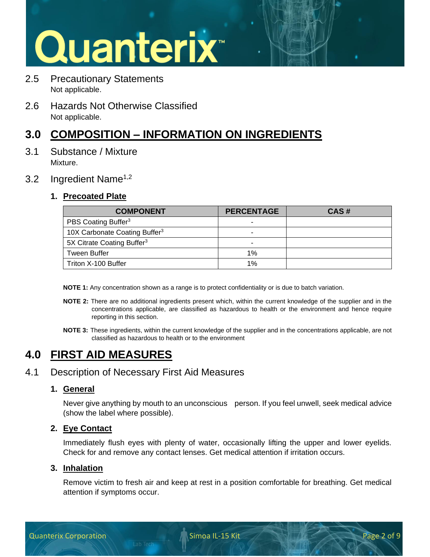# Quanterix<sup>®</sup>

- 2.5 Precautionary Statements Not applicable.
- 2.6 Hazards Not Otherwise Classified Not applicable.

## **3.0 COMPOSITION – INFORMATION ON INGREDIENTS**

3.1 Substance / Mixture Mixture.

### 3.2 Ingredient Name<sup>1,2</sup>

### **1. Precoated Plate**

| <b>COMPONENT</b>                          | <b>PERCENTAGE</b> | CAS# |
|-------------------------------------------|-------------------|------|
| PBS Coating Buffer <sup>3</sup>           | -                 |      |
| 10X Carbonate Coating Buffer <sup>3</sup> | -                 |      |
| 5X Citrate Coating Buffer <sup>3</sup>    | -                 |      |
| <b>Tween Buffer</b>                       | 1%                |      |
| Triton X-100 Buffer                       | 1%                |      |

**NOTE 1:** Any concentration shown as a range is to protect confidentiality or is due to batch variation.

- **NOTE 2:** There are no additional ingredients present which, within the current knowledge of the supplier and in the concentrations applicable, are classified as hazardous to health or the environment and hence require reporting in this section.
- **NOTE 3:** These ingredients, within the current knowledge of the supplier and in the concentrations applicable, are not classified as hazardous to health or to the environment

# **4.0 FIRST AID MEASURES**

### 4.1 Description of Necessary First Aid Measures

### **1. General**

Never give anything by mouth to an unconscious person. If you feel unwell, seek medical advice (show the label where possible).

### **2. Eye Contact**

Immediately flush eyes with plenty of water, occasionally lifting the upper and lower eyelids. Check for and remove any contact lenses. Get medical attention if irritation occurs.

### **3. Inhalation**

Remove victim to fresh air and keep at rest in a position comfortable for breathing. Get medical attention if symptoms occur.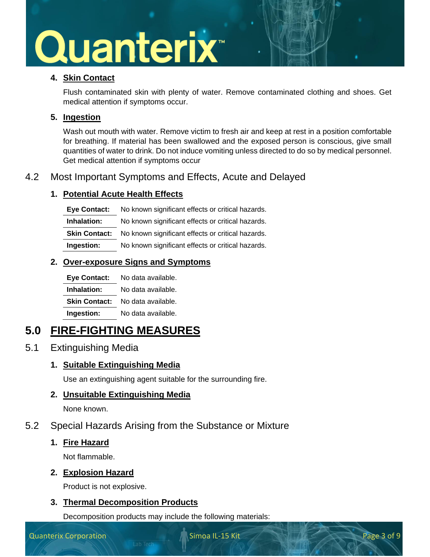### **4. Skin Contact**

Flush contaminated skin with plenty of water. Remove contaminated clothing and shoes. Get medical attention if symptoms occur.

### **5. Ingestion**

Wash out mouth with water. Remove victim to fresh air and keep at rest in a position comfortable for breathing. If material has been swallowed and the exposed person is conscious, give small quantities of water to drink. Do not induce vomiting unless directed to do so by medical personnel. Get medical attention if symptoms occur

### 4.2 Most Important Symptoms and Effects, Acute and Delayed

### **1. Potential Acute Health Effects**

**Eye Contact:** No known significant effects or critical hazards. **Inhalation:** No known significant effects or critical hazards. **Skin Contact:** No known significant effects or critical hazards. **Ingestion:** No known significant effects or critical hazards.

### **2. Over-exposure Signs and Symptoms**

| <b>Eye Contact:</b>  | No data available. |
|----------------------|--------------------|
| Inhalation:          | No data available. |
| <b>Skin Contact:</b> | No data available. |
| Ingestion:           | No data available. |

# **5.0 FIRE-FIGHTING MEASURES**

### 5.1 Extinguishing Media

### **1. Suitable Extinguishing Media**

Use an extinguishing agent suitable for the surrounding fire.

### **2. Unsuitable Extinguishing Media**

None known.

### 5.2 Special Hazards Arising from the Substance or Mixture

### **1. Fire Hazard**

Not flammable.

### **2. Explosion Hazard**

Product is not explosive.

### **3. Thermal Decomposition Products**

Decomposition products may include the following materials: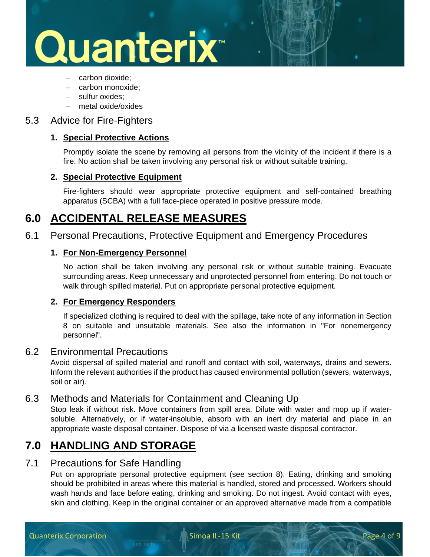# Quanterix<sup>®</sup>

- − carbon dioxide;
- − carbon monoxide;
- − sulfur oxides;
- − metal oxide/oxides

### 5.3 Advice for Fire-Fighters

#### **1. Special Protective Actions**

Promptly isolate the scene by removing all persons from the vicinity of the incident if there is a fire. No action shall be taken involving any personal risk or without suitable training.

#### **2. Special Protective Equipment**

Fire-fighters should wear appropriate protective equipment and self-contained breathing apparatus (SCBA) with a full face-piece operated in positive pressure mode.

### **6.0 ACCIDENTAL RELEASE MEASURES**

6.1 Personal Precautions, Protective Equipment and Emergency Procedures

### **1. For Non-Emergency Personnel**

No action shall be taken involving any personal risk or without suitable training. Evacuate surrounding areas. Keep unnecessary and unprotected personnel from entering. Do not touch or walk through spilled material. Put on appropriate personal protective equipment.

#### **2. For Emergency Responders**

If specialized clothing is required to deal with the spillage, take note of any information in Section 8 on suitable and unsuitable materials. See also the information in "For nonemergency personnel".

### 6.2 Environmental Precautions

Avoid dispersal of spilled material and runoff and contact with soil, waterways, drains and sewers. Inform the relevant authorities if the product has caused environmental pollution (sewers, waterways, soil or air).

### 6.3 Methods and Materials for Containment and Cleaning Up

Stop leak if without risk. Move containers from spill area. Dilute with water and mop up if watersoluble. Alternatively, or if water-insoluble, absorb with an inert dry material and place in an appropriate waste disposal container. Dispose of via a licensed waste disposal contractor.

### **7.0 HANDLING AND STORAGE**

### 7.1 Precautions for Safe Handling

Put on appropriate personal protective equipment (see section 8). Eating, drinking and smoking should be prohibited in areas where this material is handled, stored and processed. Workers should wash hands and face before eating, drinking and smoking. Do not ingest. Avoid contact with eyes, skin and clothing. Keep in the original container or an approved alternative made from a compatible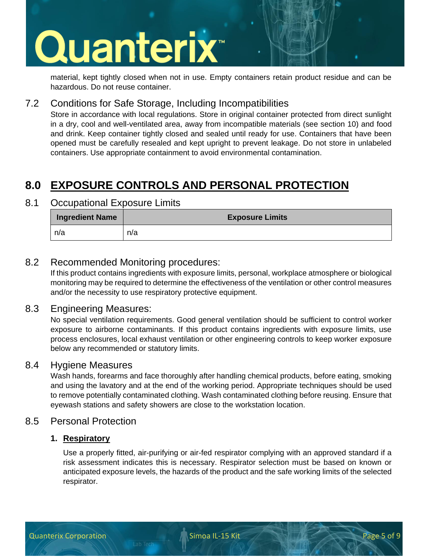# Quanterix<sup>®</sup>

material, kept tightly closed when not in use. Empty containers retain product residue and can be hazardous. Do not reuse container.

### 7.2 Conditions for Safe Storage, Including Incompatibilities

Store in accordance with local regulations. Store in original container protected from direct sunlight in a dry, cool and well-ventilated area, away from incompatible materials (see section 10) and food and drink. Keep container tightly closed and sealed until ready for use. Containers that have been opened must be carefully resealed and kept upright to prevent leakage. Do not store in unlabeled containers. Use appropriate containment to avoid environmental contamination.

# **8.0 EXPOSURE CONTROLS AND PERSONAL PROTECTION**

### 8.1 Occupational Exposure Limits

| <b>Ingredient Name</b> | <b>Exposure Limits</b> |
|------------------------|------------------------|
| n/a                    | n/a                    |

### 8.2 Recommended Monitoring procedures:

If this product contains ingredients with exposure limits, personal, workplace atmosphere or biological monitoring may be required to determine the effectiveness of the ventilation or other control measures and/or the necessity to use respiratory protective equipment.

### 8.3 Engineering Measures:

No special ventilation requirements. Good general ventilation should be sufficient to control worker exposure to airborne contaminants. If this product contains ingredients with exposure limits, use process enclosures, local exhaust ventilation or other engineering controls to keep worker exposure below any recommended or statutory limits.

### 8.4 Hygiene Measures

Wash hands, forearms and face thoroughly after handling chemical products, before eating, smoking and using the lavatory and at the end of the working period. Appropriate techniques should be used to remove potentially contaminated clothing. Wash contaminated clothing before reusing. Ensure that eyewash stations and safety showers are close to the workstation location.

### 8.5 Personal Protection

### **1. Respiratory**

Use a properly fitted, air-purifying or air-fed respirator complying with an approved standard if a risk assessment indicates this is necessary. Respirator selection must be based on known or anticipated exposure levels, the hazards of the product and the safe working limits of the selected respirator.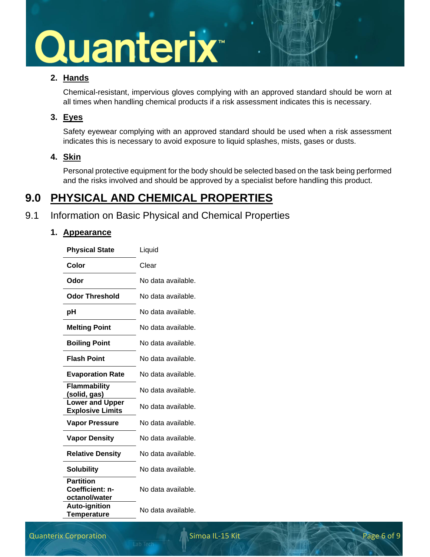### **2. Hands**

Chemical-resistant, impervious gloves complying with an approved standard should be worn at all times when handling chemical products if a risk assessment indicates this is necessary.

### **3. Eyes**

Safety eyewear complying with an approved standard should be used when a risk assessment indicates this is necessary to avoid exposure to liquid splashes, mists, gases or dusts.

### **4. Skin**

Personal protective equipment for the body should be selected based on the task being performed and the risks involved and should be approved by a specialist before handling this product.

## **9.0 PHYSICAL AND CHEMICAL PROPERTIES**

### 9.1 Information on Basic Physical and Chemical Properties

### **1. Appearance**

| <b>Physical State</b>                                | Liquid             |
|------------------------------------------------------|--------------------|
| Color                                                | Clear              |
| Odor                                                 | No data available. |
| <b>Odor Threshold</b>                                | No data available. |
| pH                                                   | No data available. |
| <b>Melting Point</b>                                 | No data available. |
| <b>Boiling Point</b>                                 | No data available. |
| <b>Flash Point</b>                                   | No data available. |
| <b>Evaporation Rate</b>                              | No data available. |
| <b>Flammability</b><br>(solid, gas)                  | No data available. |
| <b>Lower and Upper</b><br><b>Explosive Limits</b>    | No data available. |
| <b>Vapor Pressure</b>                                | No data available. |
| <b>Vapor Density</b>                                 | No data available. |
| <b>Relative Density</b>                              | No data available. |
| <b>Solubility</b>                                    | No data available. |
| <b>Partition</b><br>Coefficient: n-<br>octanol/water | No data available. |
| <b>Auto-ignition</b><br><b>Temperature</b>           | No data available. |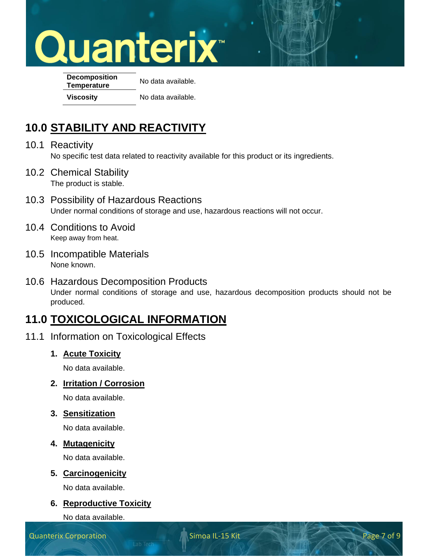**Decomposition Temperature** No data available. **Viscosity** No data available.

# **10.0 STABILITY AND REACTIVITY**

- 10.1 Reactivity No specific test data related to reactivity available for this product or its ingredients.
- 10.2 Chemical Stability The product is stable.
- 10.3 Possibility of Hazardous Reactions Under normal conditions of storage and use, hazardous reactions will not occur.
- 10.4 Conditions to Avoid Keep away from heat.
- 10.5 Incompatible Materials None known.
- 10.6 Hazardous Decomposition Products Under normal conditions of storage and use, hazardous decomposition products should not be produced.

## **11.0 TOXICOLOGICAL INFORMATION**

- 11.1 Information on Toxicological Effects
	- **1. Acute Toxicity**

No data available.

**2. Irritation / Corrosion**

No data available.

**3. Sensitization**

No data available.

### **4. Mutagenicity**

No data available.

### **5. Carcinogenicity**

No data available.

### **6. Reproductive Toxicity**

No data available.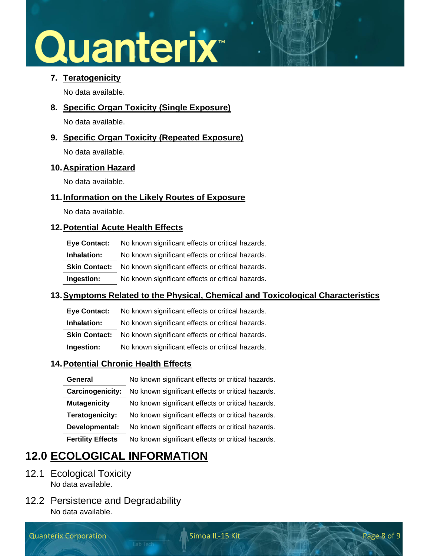### **7. Teratogenicity**

No data available.

**8. Specific Organ Toxicity (Single Exposure)**

No data available.

**9. Specific Organ Toxicity (Repeated Exposure)**

No data available.

### **10.Aspiration Hazard**

No data available.

### **11.Information on the Likely Routes of Exposure**

No data available.

### **12.Potential Acute Health Effects**

| Eye Contact:         | No known significant effects or critical hazards. |
|----------------------|---------------------------------------------------|
| Inhalation:          | No known significant effects or critical hazards. |
| <b>Skin Contact:</b> | No known significant effects or critical hazards. |
| Ingestion:           | No known significant effects or critical hazards. |

### **13.Symptoms Related to the Physical, Chemical and Toxicological Characteristics**

**Eye Contact:** No known significant effects or critical hazards.

**Inhalation:** No known significant effects or critical hazards.

**Skin Contact:** No known significant effects or critical hazards.

**Ingestion:** No known significant effects or critical hazards.

### **14.Potential Chronic Health Effects**

| No known significant effects or critical hazards. |
|---------------------------------------------------|
| No known significant effects or critical hazards. |
| No known significant effects or critical hazards. |
| No known significant effects or critical hazards. |
| No known significant effects or critical hazards. |
| No known significant effects or critical hazards. |
|                                                   |

# **12.0 ECOLOGICAL INFORMATION**

- 12.1 Ecological Toxicity No data available.
- 12.2 Persistence and Degradability No data available.